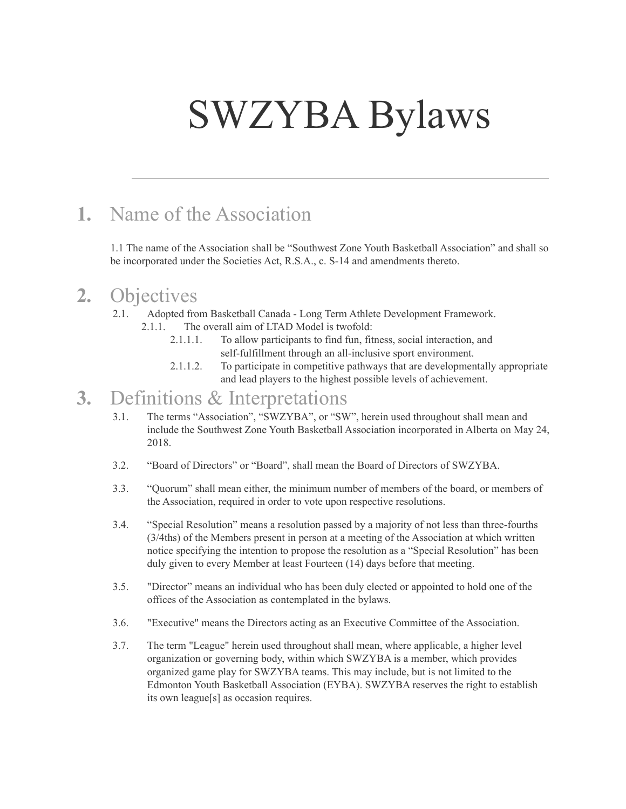# SWZYBA Bylaws

## **1.** Name of the Association

1.1 The name of the Association shall be "Southwest Zone Youth Basketball Association" and shall so be incorporated under the Societies Act, R.S.A., c. S-14 and amendments thereto.

#### **2.** Objectives

- 2.1. Adopted from Basketball Canada Long Term Athlete Development Framework.
	- 2.1.1. The overall aim of LTAD Model is twofold:
		- 2.1.1.1. To allow participants to find fun, fitness, social interaction, and self-fulfillment through an all-inclusive sport environment.
		- 2.1.1.2. To participate in competitive pathways that are developmentally appropriate and lead players to the highest possible levels of achievement.

#### **3.** Definitions & Interpretations

- 3.1. The terms "Association", "SWZYBA", or "SW", herein used throughout shall mean and include the Southwest Zone Youth Basketball Association incorporated in Alberta on May 24, 2018.
- 3.2. "Board of Directors" or "Board", shall mean the Board of Directors of SWZYBA.
- 3.3. "Quorum" shall mean either, the minimum number of members of the board, or members of the Association, required in order to vote upon respective resolutions.
- 3.4. "Special Resolution" means a resolution passed by a majority of not less than three-fourths (3/4ths) of the Members present in person at a meeting of the Association at which written notice specifying the intention to propose the resolution as a "Special Resolution" has been duly given to every Member at least Fourteen (14) days before that meeting.
- 3.5. "Director" means an individual who has been duly elected or appointed to hold one of the offices of the Association as contemplated in the bylaws.
- 3.6. "Executive" means the Directors acting as an Executive Committee of the Association.
- 3.7. The term "League" herein used throughout shall mean, where applicable, a higher level organization or governing body, within which SWZYBA is a member, which provides organized game play for SWZYBA teams. This may include, but is not limited to the Edmonton Youth Basketball Association (EYBA). SWZYBA reserves the right to establish its own league[s] as occasion requires.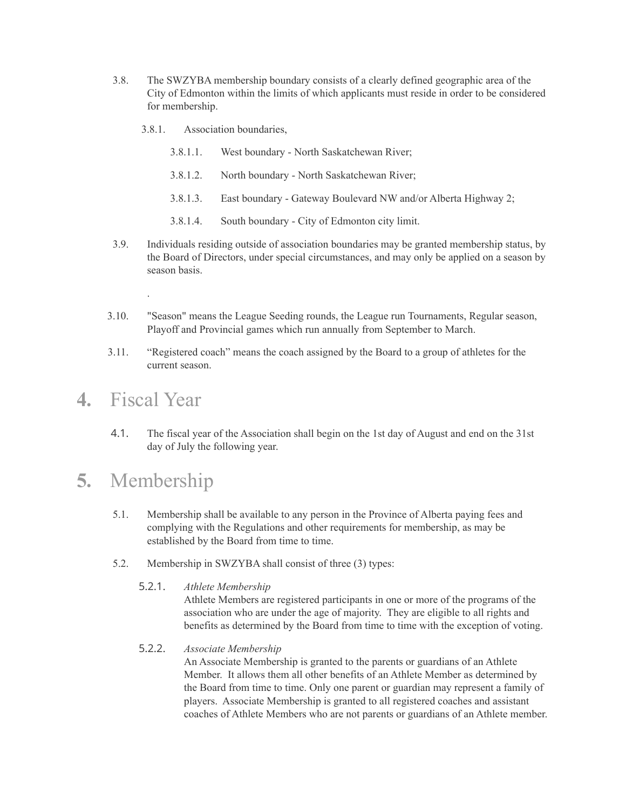- 3.8. The SWZYBA membership boundary consists of a clearly defined geographic area of the City of Edmonton within the limits of which applicants must reside in order to be considered for membership.
	- 3.8.1. Association boundaries,
		- 3.8.1.1. West boundary North Saskatchewan River;
		- 3.8.1.2. North boundary North Saskatchewan River;
		- 3.8.1.3. East boundary Gateway Boulevard NW and/or Alberta Highway 2;
		- 3.8.1.4. South boundary City of Edmonton city limit.
- 3.9. Individuals residing outside of association boundaries may be granted membership status, by the Board of Directors, under special circumstances, and may only be applied on a season by season basis.
- 3.10. "Season" means the League Seeding rounds, the League run Tournaments, Regular season, Playoff and Provincial games which run annually from September to March.
- 3.11. "Registered coach" means the coach assigned by the Board to a group of athletes for the current season.

#### **4.** Fiscal Year

.

4.1. The fiscal year of the Association shall begin on the 1st day of August and end on the 31st day of July the following year.

## **5.** Membership

- 5.1. Membership shall be available to any person in the Province of Alberta paying fees and complying with the Regulations and other requirements for membership, as may be established by the Board from time to time.
- 5.2. Membership in SWZYBA shall consist of three (3) types:
	- 5.2.1. *Athlete Membership*

Athlete Members are registered participants in one or more of the programs of the association who are under the age of majority. They are eligible to all rights and benefits as determined by the Board from time to time with the exception of voting.

5.2.2. *Associate Membership*

An Associate Membership is granted to the parents or guardians of an Athlete Member. It allows them all other benefits of an Athlete Member as determined by the Board from time to time. Only one parent or guardian may represent a family of players. Associate Membership is granted to all registered coaches and assistant coaches of Athlete Members who are not parents or guardians of an Athlete member.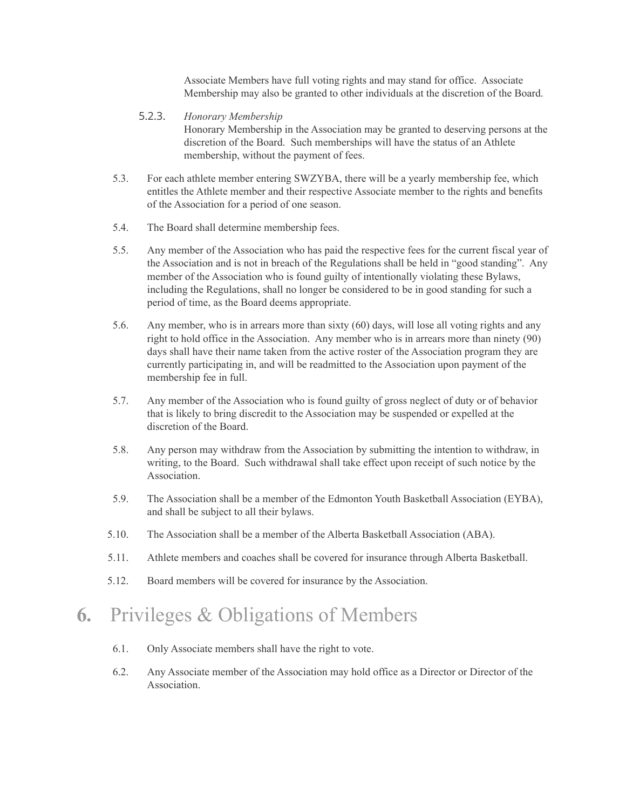Associate Members have full voting rights and may stand for office. Associate Membership may also be granted to other individuals at the discretion of the Board.

- 5.2.3. *Honorary Membership* Honorary Membership in the Association may be granted to deserving persons at the discretion of the Board. Such memberships will have the status of an Athlete membership, without the payment of fees.
- 5.3. For each athlete member entering SWZYBA, there will be a yearly membership fee, which entitles the Athlete member and their respective Associate member to the rights and benefits of the Association for a period of one season.
- 5.4. The Board shall determine membership fees.
- 5.5. Any member of the Association who has paid the respective fees for the current fiscal year of the Association and is not in breach of the Regulations shall be held in "good standing". Any member of the Association who is found guilty of intentionally violating these Bylaws, including the Regulations, shall no longer be considered to be in good standing for such a period of time, as the Board deems appropriate.
- 5.6. Any member, who is in arrears more than sixty (60) days, will lose all voting rights and any right to hold office in the Association. Any member who is in arrears more than ninety (90) days shall have their name taken from the active roster of the Association program they are currently participating in, and will be readmitted to the Association upon payment of the membership fee in full.
- 5.7. Any member of the Association who is found guilty of gross neglect of duty or of behavior that is likely to bring discredit to the Association may be suspended or expelled at the discretion of the Board.
- 5.8. Any person may withdraw from the Association by submitting the intention to withdraw, in writing, to the Board. Such withdrawal shall take effect upon receipt of such notice by the Association.
- 5.9. The Association shall be a member of the Edmonton Youth Basketball Association (EYBA), and shall be subject to all their bylaws.
- 5.10. The Association shall be a member of the Alberta Basketball Association (ABA).
- 5.11. Athlete members and coaches shall be covered for insurance through Alberta Basketball.
- 5.12. Board members will be covered for insurance by the Association.

# **6.** Privileges & Obligations of Members

- 6.1. Only Associate members shall have the right to vote.
- 6.2. Any Associate member of the Association may hold office as a Director or Director of the Association.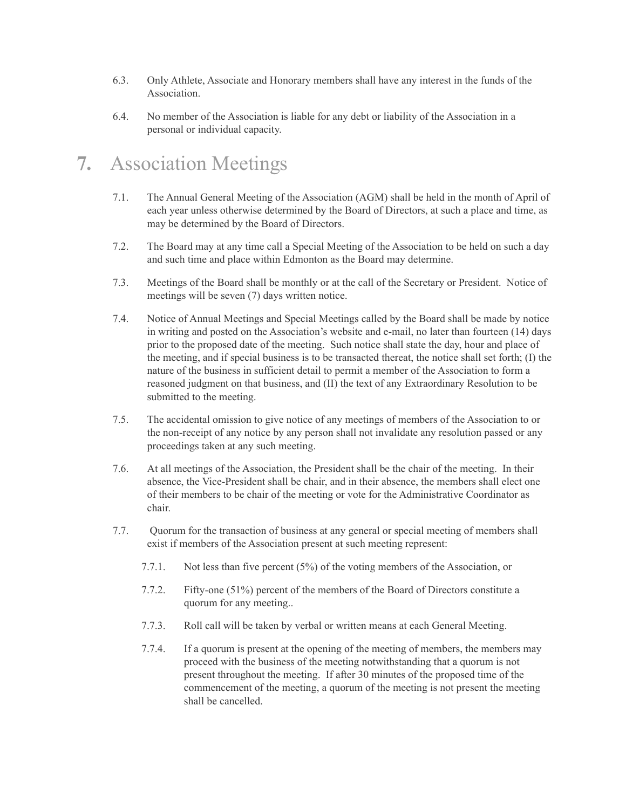- 6.3. Only Athlete, Associate and Honorary members shall have any interest in the funds of the Association.
- 6.4. No member of the Association is liable for any debt or liability of the Association in a personal or individual capacity.

# **7.** Association Meetings

- 7.1. The Annual General Meeting of the Association (AGM) shall be held in the month of April of each year unless otherwise determined by the Board of Directors, at such a place and time, as may be determined by the Board of Directors.
- 7.2. The Board may at any time call a Special Meeting of the Association to be held on such a day and such time and place within Edmonton as the Board may determine.
- 7.3. Meetings of the Board shall be monthly or at the call of the Secretary or President. Notice of meetings will be seven (7) days written notice.
- 7.4. Notice of Annual Meetings and Special Meetings called by the Board shall be made by notice in writing and posted on the Association's website and e-mail, no later than fourteen (14) days prior to the proposed date of the meeting. Such notice shall state the day, hour and place of the meeting, and if special business is to be transacted thereat, the notice shall set forth; (I) the nature of the business in sufficient detail to permit a member of the Association to form a reasoned judgment on that business, and (II) the text of any Extraordinary Resolution to be submitted to the meeting.
- 7.5. The accidental omission to give notice of any meetings of members of the Association to or the non-receipt of any notice by any person shall not invalidate any resolution passed or any proceedings taken at any such meeting.
- 7.6. At all meetings of the Association, the President shall be the chair of the meeting. In their absence, the Vice-President shall be chair, and in their absence, the members shall elect one of their members to be chair of the meeting or vote for the Administrative Coordinator as chair.
- 7.7. Quorum for the transaction of business at any general or special meeting of members shall exist if members of the Association present at such meeting represent:
	- 7.7.1. Not less than five percent (5%) of the voting members of the Association, or
	- 7.7.2. Fifty-one (51%) percent of the members of the Board of Directors constitute a quorum for any meeting..
	- 7.7.3. Roll call will be taken by verbal or written means at each General Meeting.
	- 7.7.4. If a quorum is present at the opening of the meeting of members, the members may proceed with the business of the meeting notwithstanding that a quorum is not present throughout the meeting. If after 30 minutes of the proposed time of the commencement of the meeting, a quorum of the meeting is not present the meeting shall be cancelled.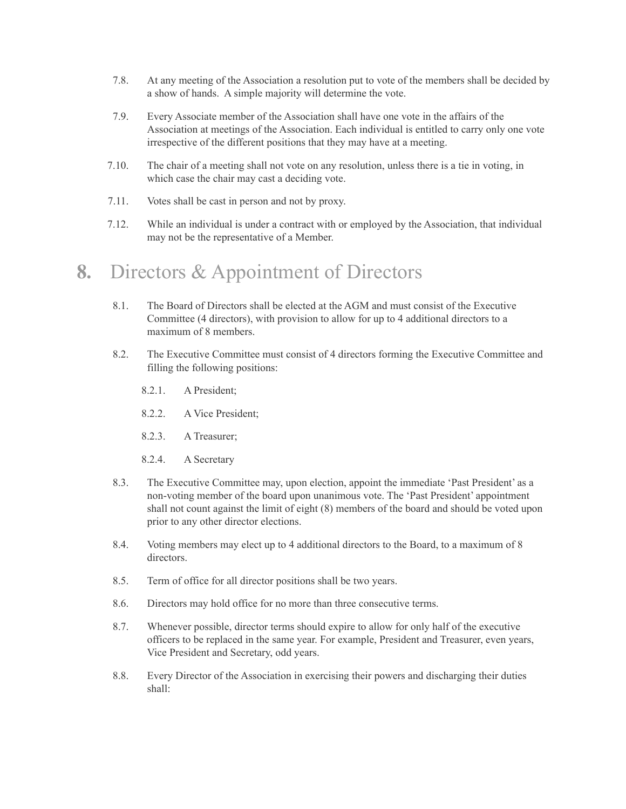- 7.8. At any meeting of the Association a resolution put to vote of the members shall be decided by a show of hands. A simple majority will determine the vote.
- 7.9. Every Associate member of the Association shall have one vote in the affairs of the Association at meetings of the Association. Each individual is entitled to carry only one vote irrespective of the different positions that they may have at a meeting.
- 7.10. The chair of a meeting shall not vote on any resolution, unless there is a tie in voting, in which case the chair may cast a deciding vote.
- 7.11. Votes shall be cast in person and not by proxy.
- 7.12. While an individual is under a contract with or employed by the Association, that individual may not be the representative of a Member.

#### **8.** Directors & Appointment of Directors

- 8.1. The Board of Directors shall be elected at the AGM and must consist of the Executive Committee (4 directors), with provision to allow for up to 4 additional directors to a maximum of 8 members.
- 8.2. The Executive Committee must consist of 4 directors forming the Executive Committee and filling the following positions:
	- 8.2.1. A President;
	- 8.2.2. A Vice President;
	- 8.2.3. A Treasurer;
	- 8.2.4. A Secretary
- 8.3. The Executive Committee may, upon election, appoint the immediate 'Past President' as a non-voting member of the board upon unanimous vote. The 'Past President' appointment shall not count against the limit of eight (8) members of the board and should be voted upon prior to any other director elections.
- 8.4. Voting members may elect up to 4 additional directors to the Board, to a maximum of 8 directors.
- 8.5. Term of office for all director positions shall be two years.
- 8.6. Directors may hold office for no more than three consecutive terms.
- 8.7. Whenever possible, director terms should expire to allow for only half of the executive officers to be replaced in the same year. For example, President and Treasurer, even years, Vice President and Secretary, odd years.
- 8.8. Every Director of the Association in exercising their powers and discharging their duties shall: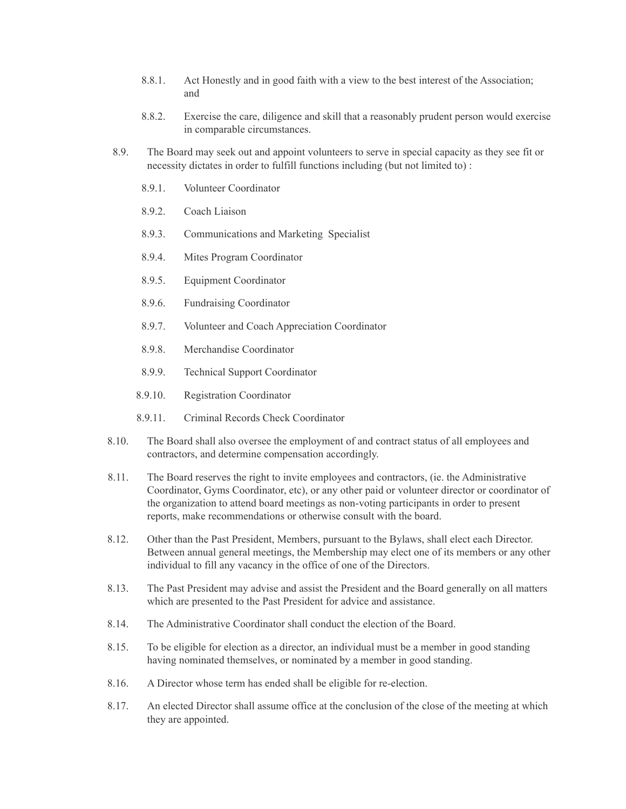- 8.8.1. Act Honestly and in good faith with a view to the best interest of the Association; and
- 8.8.2. Exercise the care, diligence and skill that a reasonably prudent person would exercise in comparable circumstances.
- 8.9. The Board may seek out and appoint volunteers to serve in special capacity as they see fit or necessity dictates in order to fulfill functions including (but not limited to) :
	- 8.9.1. Volunteer Coordinator
	- 8.9.2. Coach Liaison
	- 8.9.3. Communications and Marketing Specialist
	- 8.9.4. Mites Program Coordinator
	- 8.9.5. Equipment Coordinator
	- 8.9.6. Fundraising Coordinator
	- 8.9.7. Volunteer and Coach Appreciation Coordinator
	- 8.9.8. Merchandise Coordinator
	- 8.9.9. Technical Support Coordinator
	- 8.9.10. Registration Coordinator
	- 8.9.11. Criminal Records Check Coordinator
- 8.10. The Board shall also oversee the employment of and contract status of all employees and contractors, and determine compensation accordingly.
- 8.11. The Board reserves the right to invite employees and contractors, (ie. the Administrative Coordinator, Gyms Coordinator, etc), or any other paid or volunteer director or coordinator of the organization to attend board meetings as non-voting participants in order to present reports, make recommendations or otherwise consult with the board.
- 8.12. Other than the Past President, Members, pursuant to the Bylaws, shall elect each Director. Between annual general meetings, the Membership may elect one of its members or any other individual to fill any vacancy in the office of one of the Directors.
- 8.13. The Past President may advise and assist the President and the Board generally on all matters which are presented to the Past President for advice and assistance.
- 8.14. The Administrative Coordinator shall conduct the election of the Board.
- 8.15. To be eligible for election as a director, an individual must be a member in good standing having nominated themselves, or nominated by a member in good standing.
- 8.16. A Director whose term has ended shall be eligible for re-election.
- 8.17. An elected Director shall assume office at the conclusion of the close of the meeting at which they are appointed.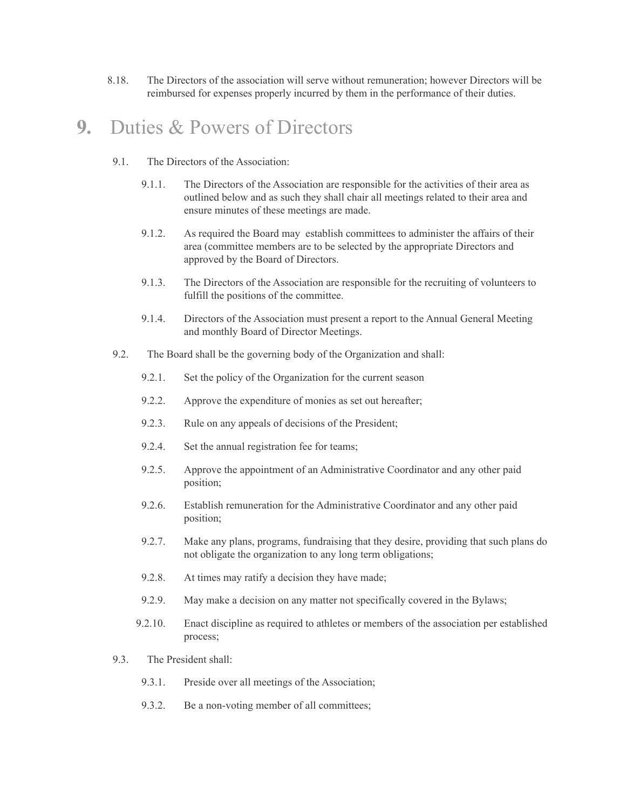8.18. The Directors of the association will serve without remuneration; however Directors will be reimbursed for expenses properly incurred by them in the performance of their duties.

#### **9.** Duties & Powers of Directors

- 9.1. The Directors of the Association:
	- 9.1.1. The Directors of the Association are responsible for the activities of their area as outlined below and as such they shall chair all meetings related to their area and ensure minutes of these meetings are made.
	- 9.1.2. As required the Board may establish committees to administer the affairs of their area (committee members are to be selected by the appropriate Directors and approved by the Board of Directors.
	- 9.1.3. The Directors of the Association are responsible for the recruiting of volunteers to fulfill the positions of the committee.
	- 9.1.4. Directors of the Association must present a report to the Annual General Meeting and monthly Board of Director Meetings.
- 9.2. The Board shall be the governing body of the Organization and shall:
	- 9.2.1. Set the policy of the Organization for the current season
	- 9.2.2. Approve the expenditure of monies as set out hereafter;
	- 9.2.3. Rule on any appeals of decisions of the President;
	- 9.2.4. Set the annual registration fee for teams;
	- 9.2.5. Approve the appointment of an Administrative Coordinator and any other paid position;
	- 9.2.6. Establish remuneration for the Administrative Coordinator and any other paid position;
	- 9.2.7. Make any plans, programs, fundraising that they desire, providing that such plans do not obligate the organization to any long term obligations;
	- 9.2.8. At times may ratify a decision they have made;
	- 9.2.9. May make a decision on any matter not specifically covered in the Bylaws;
	- 9.2.10. Enact discipline as required to athletes or members of the association per established process;
- 9.3. The President shall:
	- 9.3.1. Preside over all meetings of the Association;
	- 9.3.2. Be a non-voting member of all committees;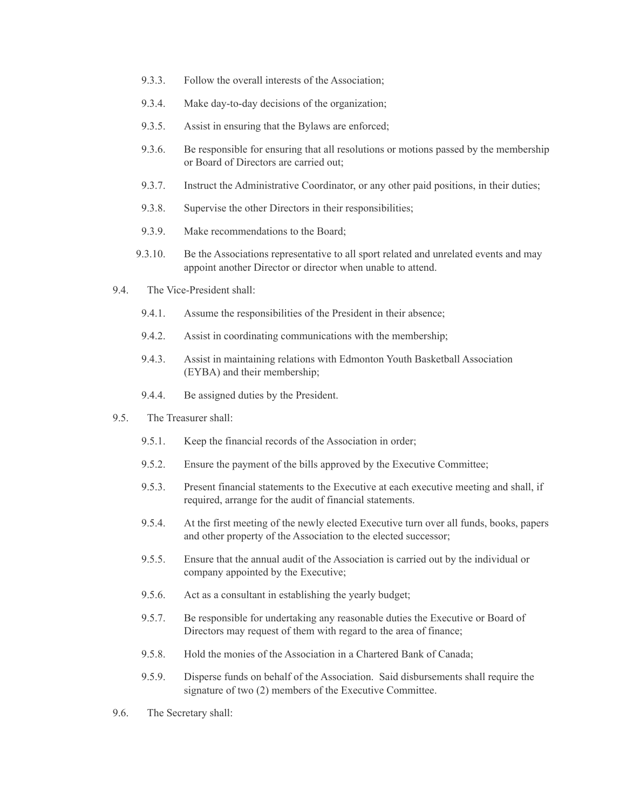- 9.3.3. Follow the overall interests of the Association;
- 9.3.4. Make day-to-day decisions of the organization;
- 9.3.5. Assist in ensuring that the Bylaws are enforced;
- 9.3.6. Be responsible for ensuring that all resolutions or motions passed by the membership or Board of Directors are carried out;
- 9.3.7. Instruct the Administrative Coordinator, or any other paid positions, in their duties;
- 9.3.8. Supervise the other Directors in their responsibilities;
- 9.3.9. Make recommendations to the Board;
- 9.3.10. Be the Associations representative to all sport related and unrelated events and may appoint another Director or director when unable to attend.
- 9.4. The Vice-President shall:
	- 9.4.1. Assume the responsibilities of the President in their absence;
	- 9.4.2. Assist in coordinating communications with the membership;
	- 9.4.3. Assist in maintaining relations with Edmonton Youth Basketball Association (EYBA) and their membership;
	- 9.4.4. Be assigned duties by the President.
- 9.5. The Treasurer shall:
	- 9.5.1. Keep the financial records of the Association in order;
	- 9.5.2. Ensure the payment of the bills approved by the Executive Committee;
	- 9.5.3. Present financial statements to the Executive at each executive meeting and shall, if required, arrange for the audit of financial statements.
	- 9.5.4. At the first meeting of the newly elected Executive turn over all funds, books, papers and other property of the Association to the elected successor;
	- 9.5.5. Ensure that the annual audit of the Association is carried out by the individual or company appointed by the Executive;
	- 9.5.6. Act as a consultant in establishing the yearly budget;
	- 9.5.7. Be responsible for undertaking any reasonable duties the Executive or Board of Directors may request of them with regard to the area of finance;
	- 9.5.8. Hold the monies of the Association in a Chartered Bank of Canada;
	- 9.5.9. Disperse funds on behalf of the Association. Said disbursements shall require the signature of two (2) members of the Executive Committee.
- 9.6. The Secretary shall: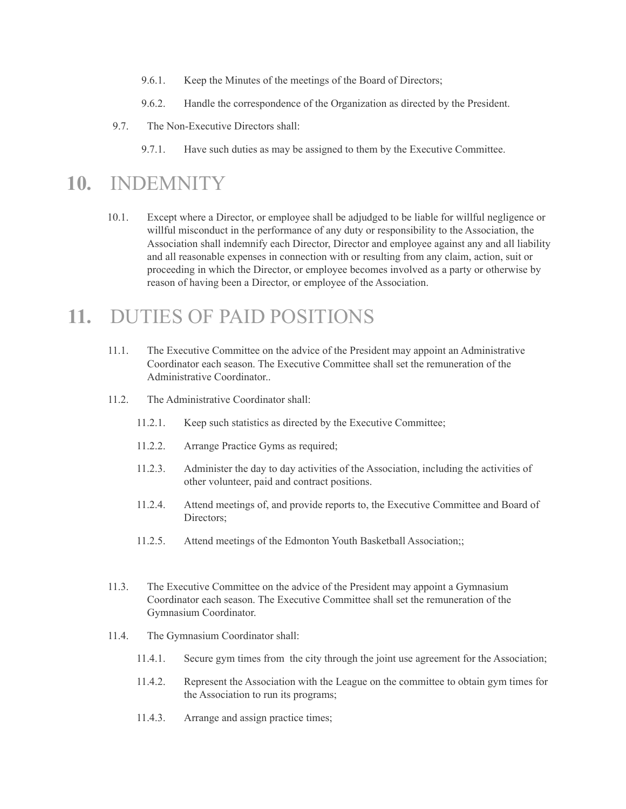- 9.6.1. Keep the Minutes of the meetings of the Board of Directors;
- 9.6.2. Handle the correspondence of the Organization as directed by the President.
- 9.7. The Non-Executive Directors shall:
	- 9.7.1. Have such duties as may be assigned to them by the Executive Committee.

#### **10.** INDEMNITY

10.1. Except where a Director, or employee shall be adjudged to be liable for willful negligence or willful misconduct in the performance of any duty or responsibility to the Association, the Association shall indemnify each Director, Director and employee against any and all liability and all reasonable expenses in connection with or resulting from any claim, action, suit or proceeding in which the Director, or employee becomes involved as a party or otherwise by reason of having been a Director, or employee of the Association.

#### **11.** DUTIES OF PAID POSITIONS

- 11.1. The Executive Committee on the advice of the President may appoint an Administrative Coordinator each season. The Executive Committee shall set the remuneration of the Administrative Coordinator..
- 11.2. The Administrative Coordinator shall:
	- 11.2.1. Keep such statistics as directed by the Executive Committee;
	- 11.2.2. Arrange Practice Gyms as required;
	- 11.2.3. Administer the day to day activities of the Association, including the activities of other volunteer, paid and contract positions.
	- 11.2.4. Attend meetings of, and provide reports to, the Executive Committee and Board of Directors;
	- 11.2.5. Attend meetings of the Edmonton Youth Basketball Association;;
- 11.3. The Executive Committee on the advice of the President may appoint a Gymnasium Coordinator each season. The Executive Committee shall set the remuneration of the Gymnasium Coordinator.
- 11.4. The Gymnasium Coordinator shall:
	- 11.4.1. Secure gym times from the city through the joint use agreement for the Association;
	- 11.4.2. Represent the Association with the League on the committee to obtain gym times for the Association to run its programs;
	- 11.4.3. Arrange and assign practice times;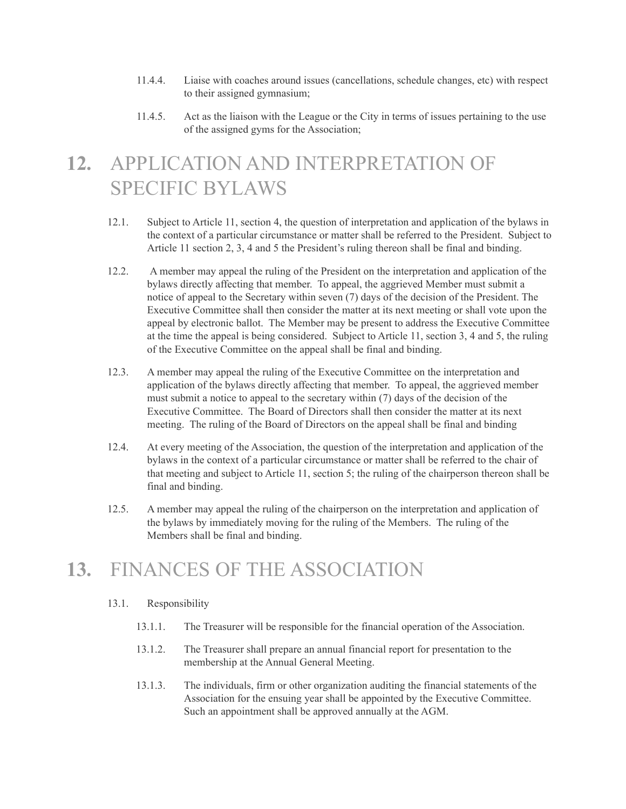- 11.4.4. Liaise with coaches around issues (cancellations, schedule changes, etc) with respect to their assigned gymnasium;
- 11.4.5. Act as the liaison with the League or the City in terms of issues pertaining to the use of the assigned gyms for the Association;

# **12.** APPLICATION AND INTERPRETATION OF SPECIFIC BYLAWS

- 12.1. Subject to Article 11, section 4, the question of interpretation and application of the bylaws in the context of a particular circumstance or matter shall be referred to the President. Subject to Article 11 section 2, 3, 4 and 5 the President's ruling thereon shall be final and binding.
- 12.2. A member may appeal the ruling of the President on the interpretation and application of the bylaws directly affecting that member. To appeal, the aggrieved Member must submit a notice of appeal to the Secretary within seven (7) days of the decision of the President. The Executive Committee shall then consider the matter at its next meeting or shall vote upon the appeal by electronic ballot. The Member may be present to address the Executive Committee at the time the appeal is being considered. Subject to Article 11, section 3, 4 and 5, the ruling of the Executive Committee on the appeal shall be final and binding.
- 12.3. A member may appeal the ruling of the Executive Committee on the interpretation and application of the bylaws directly affecting that member. To appeal, the aggrieved member must submit a notice to appeal to the secretary within (7) days of the decision of the Executive Committee. The Board of Directors shall then consider the matter at its next meeting. The ruling of the Board of Directors on the appeal shall be final and binding
- 12.4. At every meeting of the Association, the question of the interpretation and application of the bylaws in the context of a particular circumstance or matter shall be referred to the chair of that meeting and subject to Article 11, section 5; the ruling of the chairperson thereon shall be final and binding.
- 12.5. A member may appeal the ruling of the chairperson on the interpretation and application of the bylaws by immediately moving for the ruling of the Members. The ruling of the Members shall be final and binding.

# **13.** FINANCES OF THE ASSOCIATION

- 13.1. Responsibility
	- 13.1.1. The Treasurer will be responsible for the financial operation of the Association.
	- 13.1.2. The Treasurer shall prepare an annual financial report for presentation to the membership at the Annual General Meeting.
	- 13.1.3. The individuals, firm or other organization auditing the financial statements of the Association for the ensuing year shall be appointed by the Executive Committee. Such an appointment shall be approved annually at the AGM.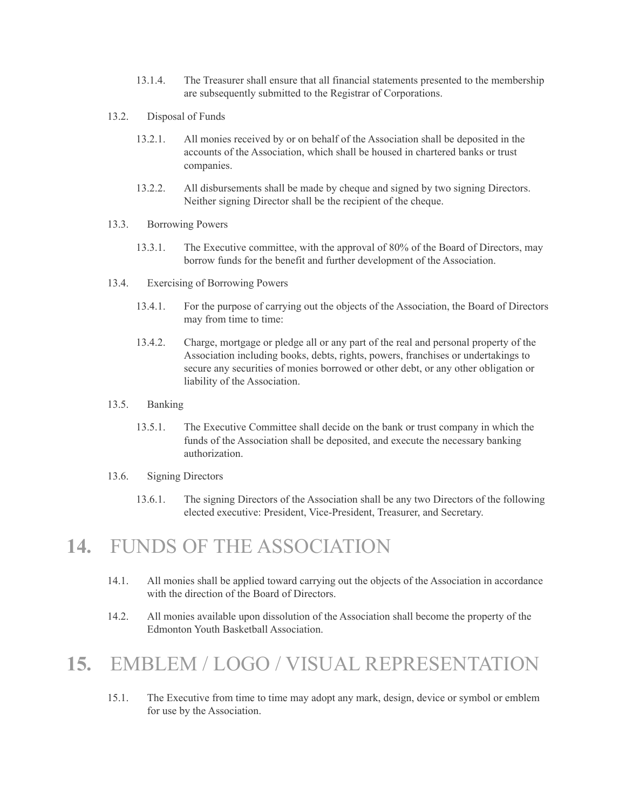- 13.1.4. The Treasurer shall ensure that all financial statements presented to the membership are subsequently submitted to the Registrar of Corporations.
- 13.2. Disposal of Funds
	- 13.2.1. All monies received by or on behalf of the Association shall be deposited in the accounts of the Association, which shall be housed in chartered banks or trust companies.
	- 13.2.2. All disbursements shall be made by cheque and signed by two signing Directors. Neither signing Director shall be the recipient of the cheque.
- 13.3. Borrowing Powers
	- 13.3.1. The Executive committee, with the approval of 80% of the Board of Directors, may borrow funds for the benefit and further development of the Association.
- 13.4. Exercising of Borrowing Powers
	- 13.4.1. For the purpose of carrying out the objects of the Association, the Board of Directors may from time to time:
	- 13.4.2. Charge, mortgage or pledge all or any part of the real and personal property of the Association including books, debts, rights, powers, franchises or undertakings to secure any securities of monies borrowed or other debt, or any other obligation or liability of the Association.
- 13.5. Banking
	- 13.5.1. The Executive Committee shall decide on the bank or trust company in which the funds of the Association shall be deposited, and execute the necessary banking authorization.
- 13.6. Signing Directors
	- 13.6.1. The signing Directors of the Association shall be any two Directors of the following elected executive: President, Vice-President, Treasurer, and Secretary.

#### **14.** FUNDS OF THE ASSOCIATION

- 14.1. All monies shall be applied toward carrying out the objects of the Association in accordance with the direction of the Board of Directors.
- 14.2. All monies available upon dissolution of the Association shall become the property of the Edmonton Youth Basketball Association.

## **15.** EMBLEM / LOGO / VISUAL REPRESENTATION

15.1. The Executive from time to time may adopt any mark, design, device or symbol or emblem for use by the Association.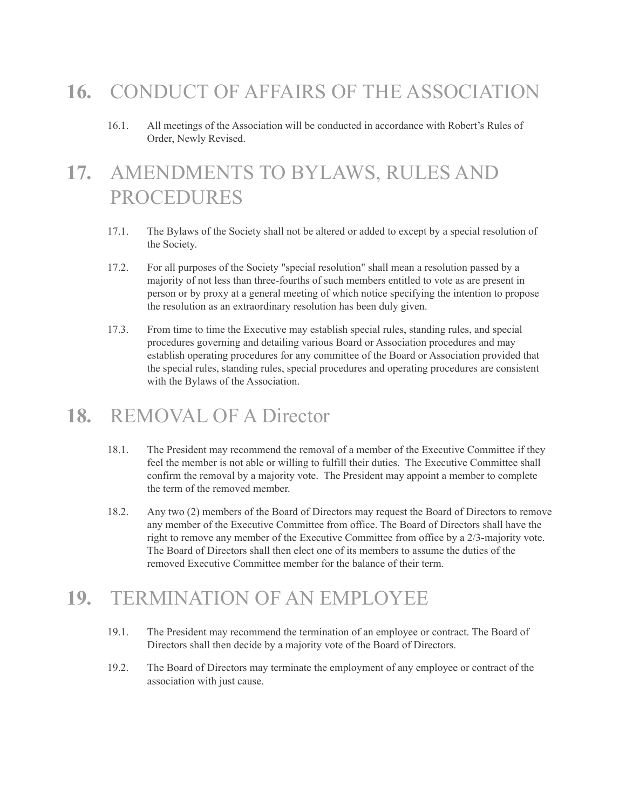# **16.** CONDUCT OF AFFAIRS OF THE ASSOCIATION

16.1. All meetings of the Association will be conducted in accordance with Robert's Rules of Order, Newly Revised.

# **17.** AMENDMENTS TO BYLAWS, RULES AND PROCEDURES

- 17.1. The Bylaws of the Society shall not be altered or added to except by a special resolution of the Society.
- 17.2. For all purposes of the Society "special resolution" shall mean a resolution passed by a majority of not less than three-fourths of such members entitled to vote as are present in person or by proxy at a general meeting of which notice specifying the intention to propose the resolution as an extraordinary resolution has been duly given.
- 17.3. From time to time the Executive may establish special rules, standing rules, and special procedures governing and detailing various Board or Association procedures and may establish operating procedures for any committee of the Board or Association provided that the special rules, standing rules, special procedures and operating procedures are consistent with the Bylaws of the Association.

#### **18.** REMOVAL OF A Director

- 18.1. The President may recommend the removal of a member of the Executive Committee if they feel the member is not able or willing to fulfill their duties. The Executive Committee shall confirm the removal by a majority vote. The President may appoint a member to complete the term of the removed member.
- 18.2. Any two (2) members of the Board of Directors may request the Board of Directors to remove any member of the Executive Committee from office. The Board of Directors shall have the right to remove any member of the Executive Committee from office by a 2/3-majority vote. The Board of Directors shall then elect one of its members to assume the duties of the removed Executive Committee member for the balance of their term.

# **19.** TERMINATION OF AN EMPLOYEE

- 19.1. The President may recommend the termination of an employee or contract. The Board of Directors shall then decide by a majority vote of the Board of Directors.
- 19.2. The Board of Directors may terminate the employment of any employee or contract of the association with just cause.